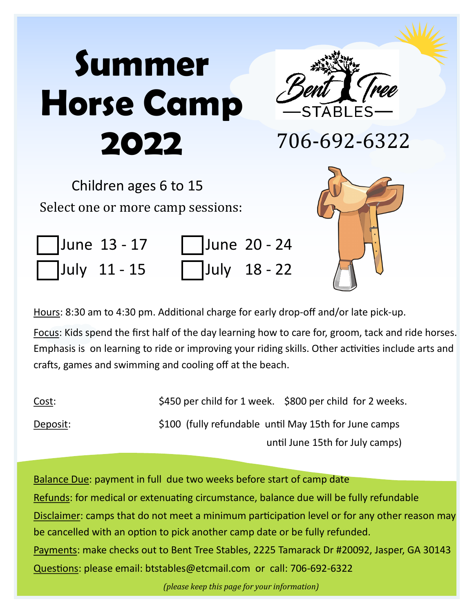# **Summer Horse Camp 2022**



706-692-6322

Children ages 6 to 15 Select one or more camp sessions:

|  | June 13 - 17 |
|--|--------------|
|  | July 11 - 15 |

| June 13 - 17 |  | June 20 - 24 |
|--------------|--|--------------|
| July 11 - 15 |  | July 18 - 22 |



Hours: 8:30 am to 4:30 pm. Additional charge for early drop-off and/or late pick-up.

Focus: Kids spend the first half of the day learning how to care for, groom, tack and ride horses. Emphasis is on learning to ride or improving your riding skills. Other activities include arts and crafts, games and swimming and cooling off at the beach.

| <u>Cost:</u> | \$450 per child for 1 week. \$800 per child for 2 weeks. |
|--------------|----------------------------------------------------------|
| Deposit:     | \$100 (fully refundable until May 15th for June camps    |
|              | until June 15th for July camps)                          |

Balance Due: payment in full due two weeks before start of camp date Refunds: for medical or extenuating circumstance, balance due will be fully refundable Disclaimer: camps that do not meet a minimum participation level or for any other reason may be cancelled with an option to pick another camp date or be fully refunded. Payments: make checks out to Bent Tree Stables, 2225 Tamarack Dr #20092, Jasper, GA 30143 Questions: please email: btstables@etcmail.com or call: 706-692-6322

*(please keep this page for your information)*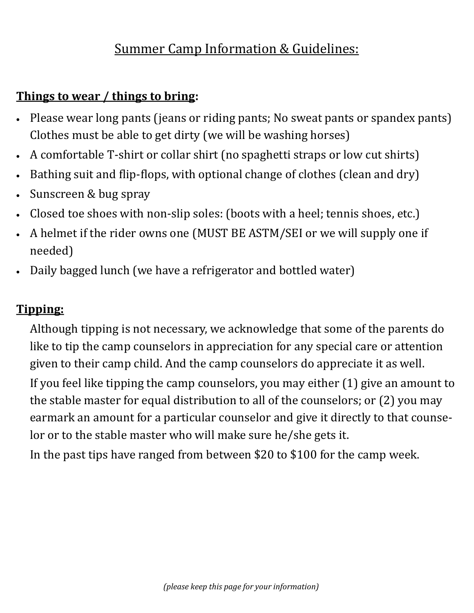# Summer Camp Information & Guidelines:

#### **Things to wear / things to bring:**

- Please wear long pants (jeans or riding pants; No sweat pants or spandex pants) Clothes must be able to get dirty (we will be washing horses)
- A comfortable T-shirt or collar shirt (no spaghetti straps or low cut shirts)
- Bathing suit and flip-flops, with optional change of clothes (clean and dry)
- Sunscreen & bug spray
- Closed toe shoes with non-slip soles: (boots with a heel; tennis shoes, etc.)
- A helmet if the rider owns one (MUST BE ASTM/SEI or we will supply one if needed)
- Daily bagged lunch (we have a refrigerator and bottled water)

#### **Tipping:**

Although tipping is not necessary, we acknowledge that some of the parents do like to tip the camp counselors in appreciation for any special care or attention given to their camp child. And the camp counselors do appreciate it as well.

If you feel like tipping the camp counselors, you may either (1) give an amount to the stable master for equal distribution to all of the counselors; or (2) you may earmark an amount for a particular counselor and give it directly to that counselor or to the stable master who will make sure he/she gets it.

In the past tips have ranged from between \$20 to \$100 for the camp week.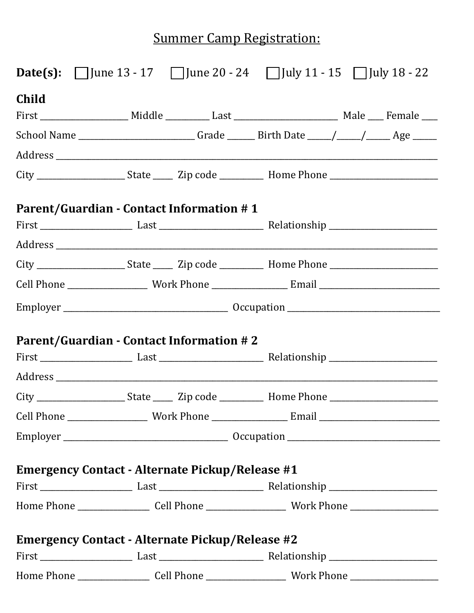# **Summer Camp Registration:**

|              |                                                        | <b>Date(s):</b> $\Box$ June 13 - 17 $\Box$ June 20 - 24 $\Box$ July 11 - 15 $\Box$ July 18 - 22 |                                                                                                                        |
|--------------|--------------------------------------------------------|-------------------------------------------------------------------------------------------------|------------------------------------------------------------------------------------------------------------------------|
| <b>Child</b> |                                                        |                                                                                                 |                                                                                                                        |
|              |                                                        |                                                                                                 |                                                                                                                        |
|              |                                                        | School Name _________________________Grade ________Birth Date _____/_____/______Age ______      |                                                                                                                        |
|              |                                                        |                                                                                                 | <u> 1989 - Johann Harry Barn, mars and deutscher Stadt and deutscher Stadt and deutscher Stadt and deutscher Stadt</u> |
|              |                                                        |                                                                                                 |                                                                                                                        |
|              | <b>Parent/Guardian - Contact Information #1</b>        |                                                                                                 |                                                                                                                        |
|              |                                                        |                                                                                                 |                                                                                                                        |
|              |                                                        |                                                                                                 |                                                                                                                        |
|              |                                                        |                                                                                                 |                                                                                                                        |
|              |                                                        |                                                                                                 |                                                                                                                        |
|              |                                                        |                                                                                                 |                                                                                                                        |
|              | <b>Parent/Guardian - Contact Information #2</b>        |                                                                                                 |                                                                                                                        |
|              |                                                        |                                                                                                 |                                                                                                                        |
|              |                                                        |                                                                                                 |                                                                                                                        |
|              |                                                        |                                                                                                 |                                                                                                                        |
|              |                                                        |                                                                                                 |                                                                                                                        |
|              |                                                        |                                                                                                 |                                                                                                                        |
|              | <b>Emergency Contact - Alternate Pickup/Release #1</b> |                                                                                                 |                                                                                                                        |
|              |                                                        |                                                                                                 |                                                                                                                        |
|              |                                                        |                                                                                                 |                                                                                                                        |
|              | <b>Emergency Contact - Alternate Pickup/Release #2</b> |                                                                                                 |                                                                                                                        |
|              |                                                        |                                                                                                 |                                                                                                                        |
|              |                                                        |                                                                                                 |                                                                                                                        |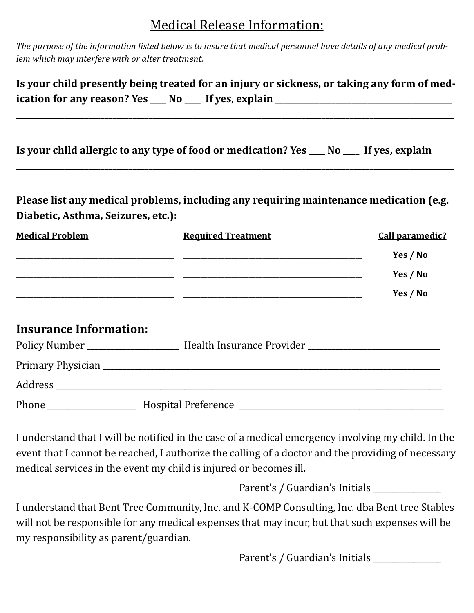## Medical Release Information:

*The purpose of the information listed below is to insure that medical personnel have details of any medical problem which may interfere with or alter treatment.* 

| Is your child presently being treated for an injury or sickness, or taking any form of med- |  |  |  |
|---------------------------------------------------------------------------------------------|--|--|--|
| ication for any reason? Yes ___ No ___ If yes, explain                                      |  |  |  |

**\_\_\_\_\_\_\_\_\_\_\_\_\_\_\_\_\_\_\_\_\_\_\_\_\_\_\_\_\_\_\_\_\_\_\_\_\_\_\_\_\_\_\_\_\_\_\_\_\_\_\_\_\_\_\_\_\_\_\_\_\_\_\_\_\_\_\_\_\_\_\_\_\_\_\_\_\_\_\_\_\_\_\_\_\_\_\_\_\_\_\_\_\_\_\_\_\_\_\_\_\_\_\_\_\_\_\_\_\_**

**\_\_\_\_\_\_\_\_\_\_\_\_\_\_\_\_\_\_\_\_\_\_\_\_\_\_\_\_\_\_\_\_\_\_\_\_\_\_\_\_\_\_\_\_\_\_\_\_\_\_\_\_\_\_\_\_\_\_\_\_\_\_\_\_\_\_\_\_\_\_\_\_\_\_\_\_\_\_\_\_\_\_\_\_\_\_\_\_\_\_\_\_\_\_\_\_\_\_\_\_\_\_\_\_\_\_\_\_\_**

| Is your child allergic to any type of food or medication? Yes ___ No ___ If yes, explain |  |  |
|------------------------------------------------------------------------------------------|--|--|
|------------------------------------------------------------------------------------------|--|--|

**Please list any medical problems, including any requiring maintenance medication (e.g. Diabetic, Asthma, Seizures, etc.):** 

| <b>Medical Problem</b> | <b>Required Treatment</b> | <b>Call paramedic?</b> |  |
|------------------------|---------------------------|------------------------|--|
|                        |                           | Yes / No               |  |
|                        |                           | Yes / No               |  |
|                        |                           | Yes / No               |  |

#### **Insurance Information:**

| Policy Number | Health Insurance Provider ________________ |
|---------------|--------------------------------------------|
|               |                                            |
| Address       |                                            |
| Phone         | <b>Hospital Preference</b>                 |

I understand that I will be notified in the case of a medical emergency involving my child. In the event that I cannot be reached, I authorize the calling of a doctor and the providing of necessary medical services in the event my child is injured or becomes ill.

Parent's / Guardian's Initials \_\_\_\_\_\_\_\_\_\_\_\_\_\_\_\_\_

I understand that Bent Tree Community, Inc. and K-COMP Consulting, Inc. dba Bent tree Stables will not be responsible for any medical expenses that may incur, but that such expenses will be my responsibility as parent/guardian.

Parent's / Guardian's Initials \_\_\_\_\_\_\_\_\_\_\_\_\_\_\_\_\_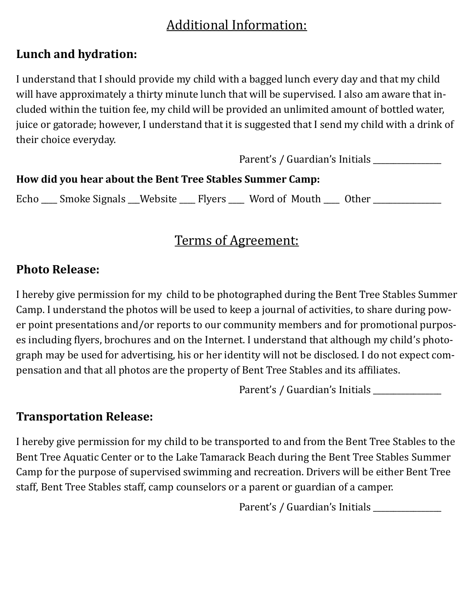# Additional Information:

#### **Lunch and hydration:**

I understand that I should provide my child with a bagged lunch every day and that my child will have approximately a thirty minute lunch that will be supervised. I also am aware that included within the tuition fee, my child will be provided an unlimited amount of bottled water, juice or gatorade; however, I understand that it is suggested that I send my child with a drink of their choice everyday.

|                                                           | Parent's / Guardian's Initials |
|-----------------------------------------------------------|--------------------------------|
| How did you hear about the Bent Tree Stables Summer Camp: |                                |
|                                                           |                                |

Echo \_\_\_\_ Smoke Signals \_\_Website \_\_\_\_ Flyers \_\_\_\_ Word of Mouth \_\_\_\_ Other \_\_\_\_\_\_\_\_\_\_\_

# Terms of Agreement:

#### **Photo Release:**

I hereby give permission for my child to be photographed during the Bent Tree Stables Summer Camp. I understand the photos will be used to keep a journal of activities, to share during power point presentations and/or reports to our community members and for promotional purposes including flyers, brochures and on the Internet. I understand that although my child's photograph may be used for advertising, his or her identity will not be disclosed. I do not expect compensation and that all photos are the property of Bent Tree Stables and its affiliates.

Parent's / Guardian's Initials \_\_\_\_\_\_\_\_\_\_\_\_\_\_\_\_\_

#### **Transportation Release:**

I hereby give permission for my child to be transported to and from the Bent Tree Stables to the Bent Tree Aquatic Center or to the Lake Tamarack Beach during the Bent Tree Stables Summer Camp for the purpose of supervised swimming and recreation. Drivers will be either Bent Tree staff, Bent Tree Stables staff, camp counselors or a parent or guardian of a camper.

Parent's / Guardian's Initials \_\_\_\_\_\_\_\_\_\_\_\_\_\_\_\_\_